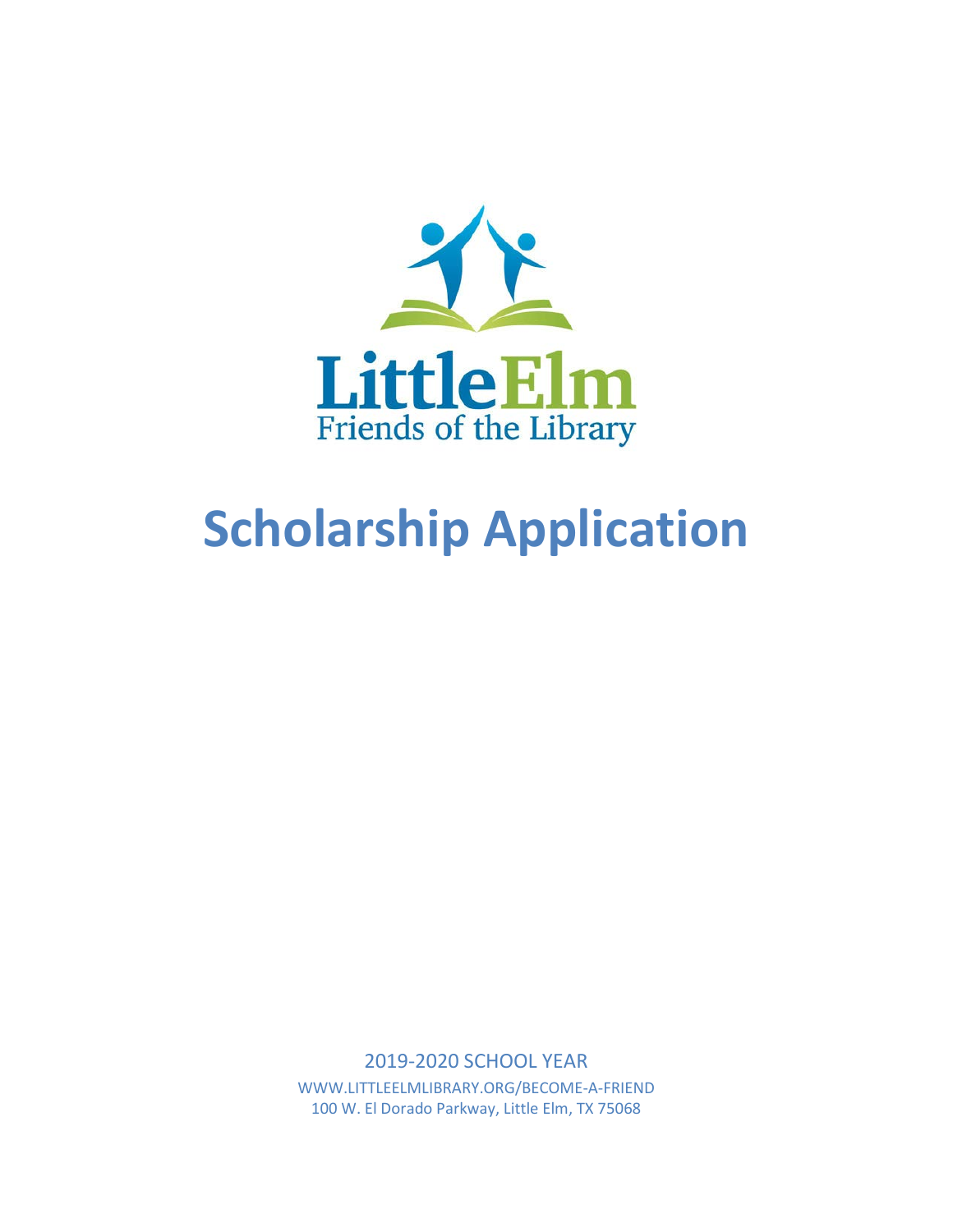

# **Scholarship Application**

2019-2020 SCHOOL YEAR WWW.LITTLEELMLIBRARY.ORG/BECOME-A-FRIEND 100 W. El Dorado Parkway, Little Elm, TX 75068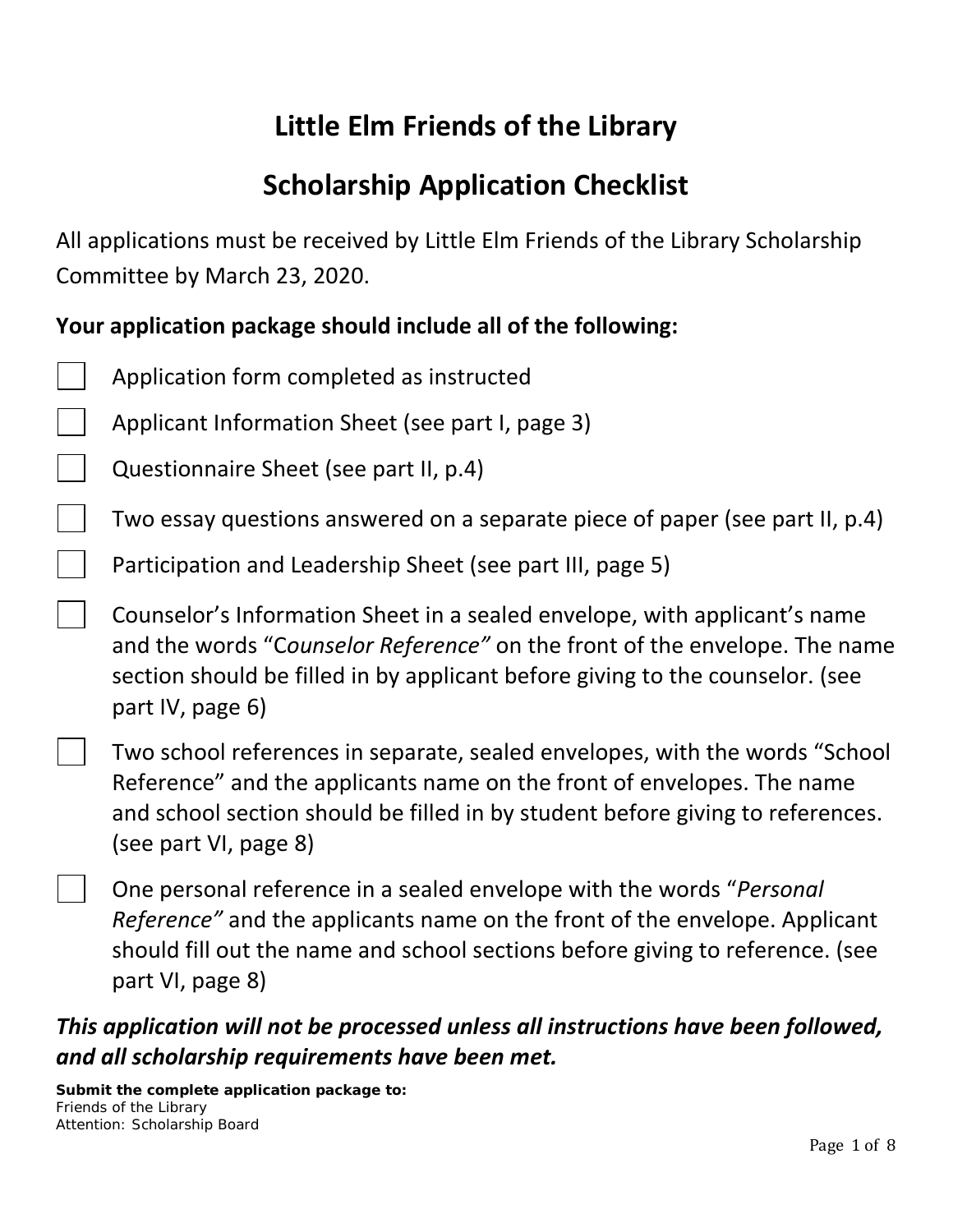# **Little Elm Friends of the Library**

## **Scholarship Application Checklist**

All applications must be received by Little Elm Friends of the Library Scholarship Committee by March 23, 2020.

### **Your application package should include all of the following:**

- Application form completed as instructed
- Applicant Information Sheet (see part I, page 3)
- Questionnaire Sheet (see part II, p.4)
	- Two essay questions answered on a separate piece of paper (see part II, p.4)
	- Participation and Leadership Sheet (see part III, page 5)

Counselor's Information Sheet in a sealed envelope, with applicant's name and the words "C*ounselor Reference"* on the front of the envelope. The name section should be filled in by applicant before giving to the counselor. (see part IV, page 6)

Two school references in separate, sealed envelopes, with the words "School Reference" and the applicants name on the front of envelopes. The name and school section should be filled in by student before giving to references. (see part VI, page 8)

One personal reference in a sealed envelope with the words "*Personal Reference"* and the applicants name on the front of the envelope. Applicant should fill out the name and school sections before giving to reference. (see part VI, page 8)

## *This application will not be processed unless all instructions have been followed, and all scholarship requirements have been met.*

**Submit the complete application package to:** Friends of the Library Attention: Scholarship Board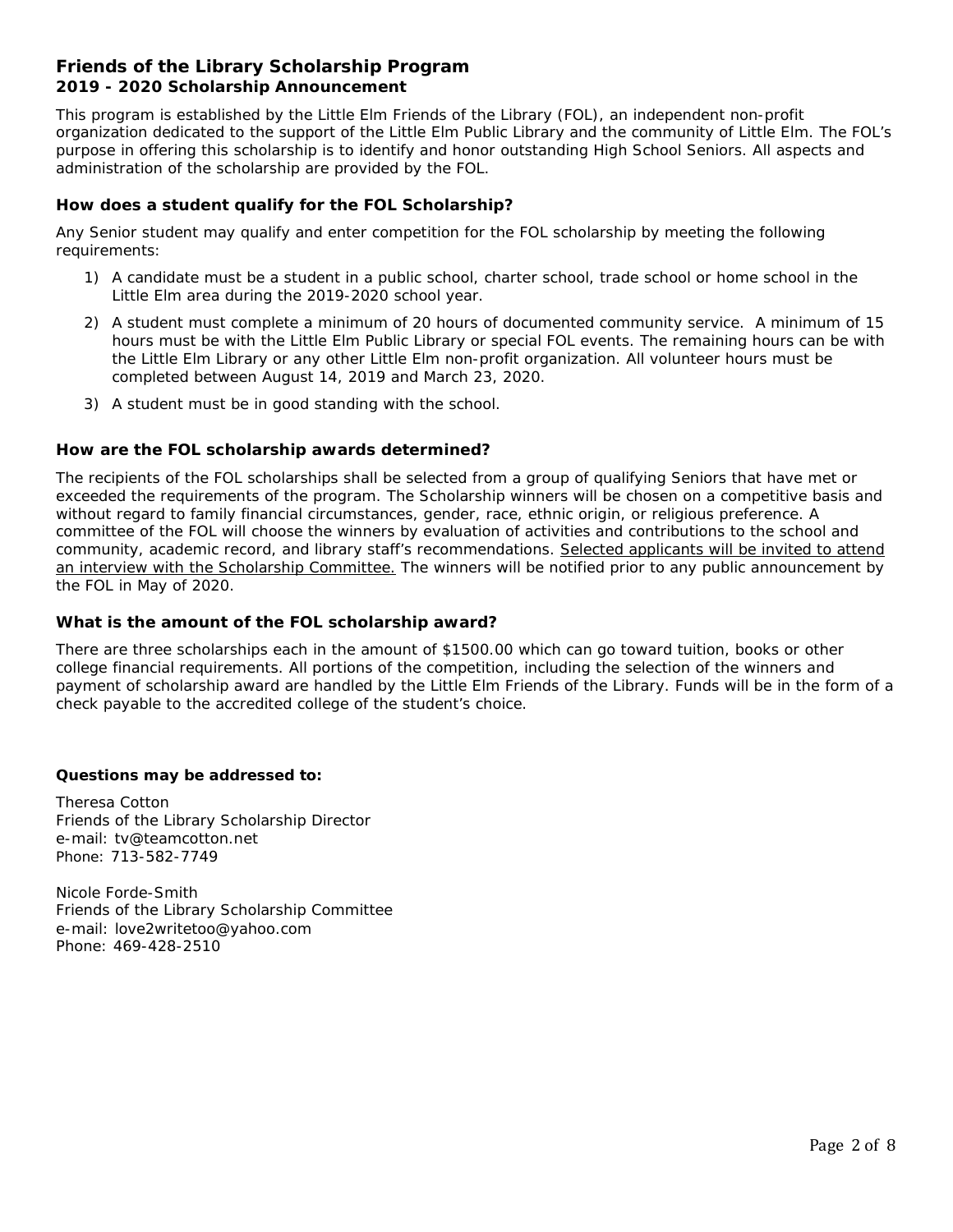#### **Friends of the Library Scholarship Program 2019 - 2020 Scholarship Announcement**

This program is established by the Little Elm Friends of the Library (FOL), an independent non-profit organization dedicated to the support of the Little Elm Public Library and the community of Little Elm. The FOL's purpose in offering this scholarship is to identify and honor outstanding High School Seniors. All aspects and administration of the scholarship are provided by the FOL.

#### **How does a student qualify for the FOL Scholarship?**

Any Senior student may qualify and enter competition for the FOL scholarship by meeting the following requirements:

- 1) A candidate must be a student in a public school, charter school, trade school or home school in the Little Elm area during the 2019-2020 school year.
- 2) A student must complete a minimum of 20 hours of documented community service. A minimum of 15 hours must be with the Little Elm Public Library or special FOL events. The remaining hours can be with the Little Elm Library or any other Little Elm non-profit organization. All volunteer hours must be completed between August 14, 2019 and March 23, 2020.
- 3) A student must be in good standing with the school.

#### **How are the FOL scholarship awards determined?**

The recipients of the FOL scholarships shall be selected from a group of qualifying Seniors that have met or exceeded the requirements of the program. The Scholarship winners will be chosen on a competitive basis and without regard to family financial circumstances, gender, race, ethnic origin, or religious preference. A committee of the FOL will choose the winners by evaluation of activities and contributions to the school and community, academic record, and library staff's recommendations*. Selected applicants will be invited to attend an interview with the Scholarship Committee.* The winners will be notified prior to any public announcement by the FOL in May of 2020.

#### **What is the amount of the FOL scholarship award?**

There are three scholarships each in the amount of \$1500.00 which can go toward tuition, books or other college financial requirements. All portions of the competition, including the selection of the winners and payment of scholarship award are handled by the Little Elm Friends of the Library. Funds will be in the form of a check payable to the accredited college of the student's choice.

#### **Questions may be addressed to:**

Theresa Cotton Friends of the Library Scholarship Director e-mail: tv@teamcotton.net Phone: 713-582-7749

Nicole Forde-Smith Friends of the Library Scholarship Committee e-mail: love2writetoo@yahoo.com Phone: 469-428-2510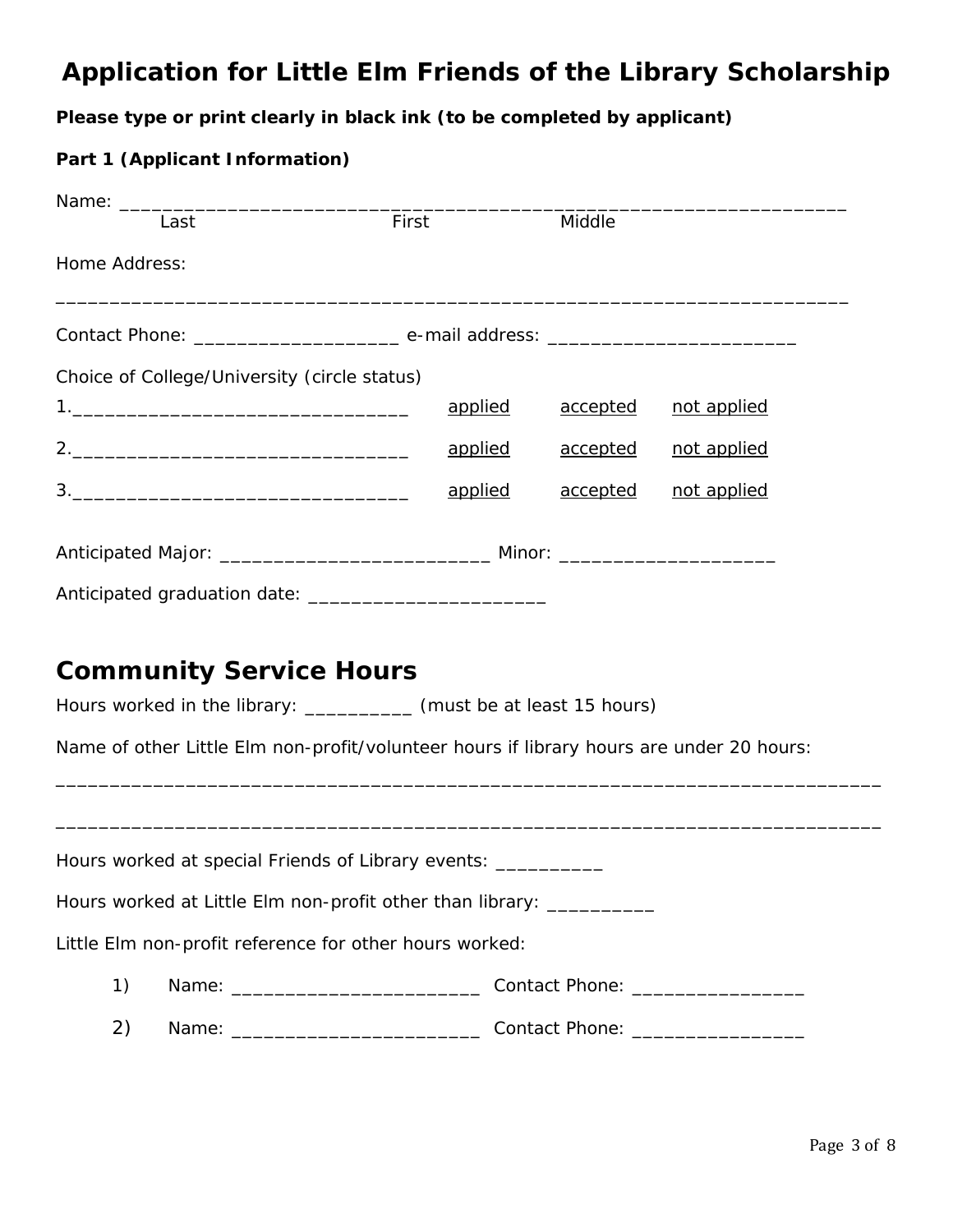## **Application for Little Elm Friends of the Library Scholarship**

#### **Please type or print clearly in black ink (to be completed by applicant)**

#### **Part 1 (Applicant Information)**

| Name: ________ |                                                                                                                          |                                                                                                                                                                 |                 |             |
|----------------|--------------------------------------------------------------------------------------------------------------------------|-----------------------------------------------------------------------------------------------------------------------------------------------------------------|-----------------|-------------|
|                | Last                                                                                                                     | First                                                                                                                                                           | Middle          |             |
| Home Address:  |                                                                                                                          | <u> 1999 - Johann Barn, mars and deutscher Schwarzen und der Berlingen und der Berlingen und der Berlingen und de</u>                                           |                 |             |
|                |                                                                                                                          |                                                                                                                                                                 |                 |             |
|                | Choice of College/University (circle status)                                                                             |                                                                                                                                                                 |                 |             |
|                |                                                                                                                          | applied                                                                                                                                                         | <u>accepted</u> | not applied |
|                |                                                                                                                          | applied                                                                                                                                                         | <u>accepted</u> | not applied |
|                | $\begin{array}{c} 3. \begin{array}{c} \begin{array}{c} \begin{array}{c} \end{array} \end{array} \end{array} \end{array}$ | applied                                                                                                                                                         | <u>accepted</u> | not applied |
|                |                                                                                                                          |                                                                                                                                                                 |                 |             |
|                |                                                                                                                          |                                                                                                                                                                 |                 |             |
|                | <b>Community Service Hours</b>                                                                                           | Hours worked in the library: __________ (must be at least 15 hours)<br>Name of other Little Elm non-profit/volunteer hours if library hours are under 20 hours: |                 |             |
|                |                                                                                                                          |                                                                                                                                                                 |                 |             |
|                |                                                                                                                          | Hours worked at special Friends of Library events: ____________                                                                                                 |                 |             |
|                |                                                                                                                          | Hours worked at Little Elm non-profit other than library: __________                                                                                            |                 |             |
|                |                                                                                                                          | Little Elm non-profit reference for other hours worked:                                                                                                         |                 |             |
| 1)             |                                                                                                                          |                                                                                                                                                                 |                 |             |
| 2)             |                                                                                                                          |                                                                                                                                                                 |                 |             |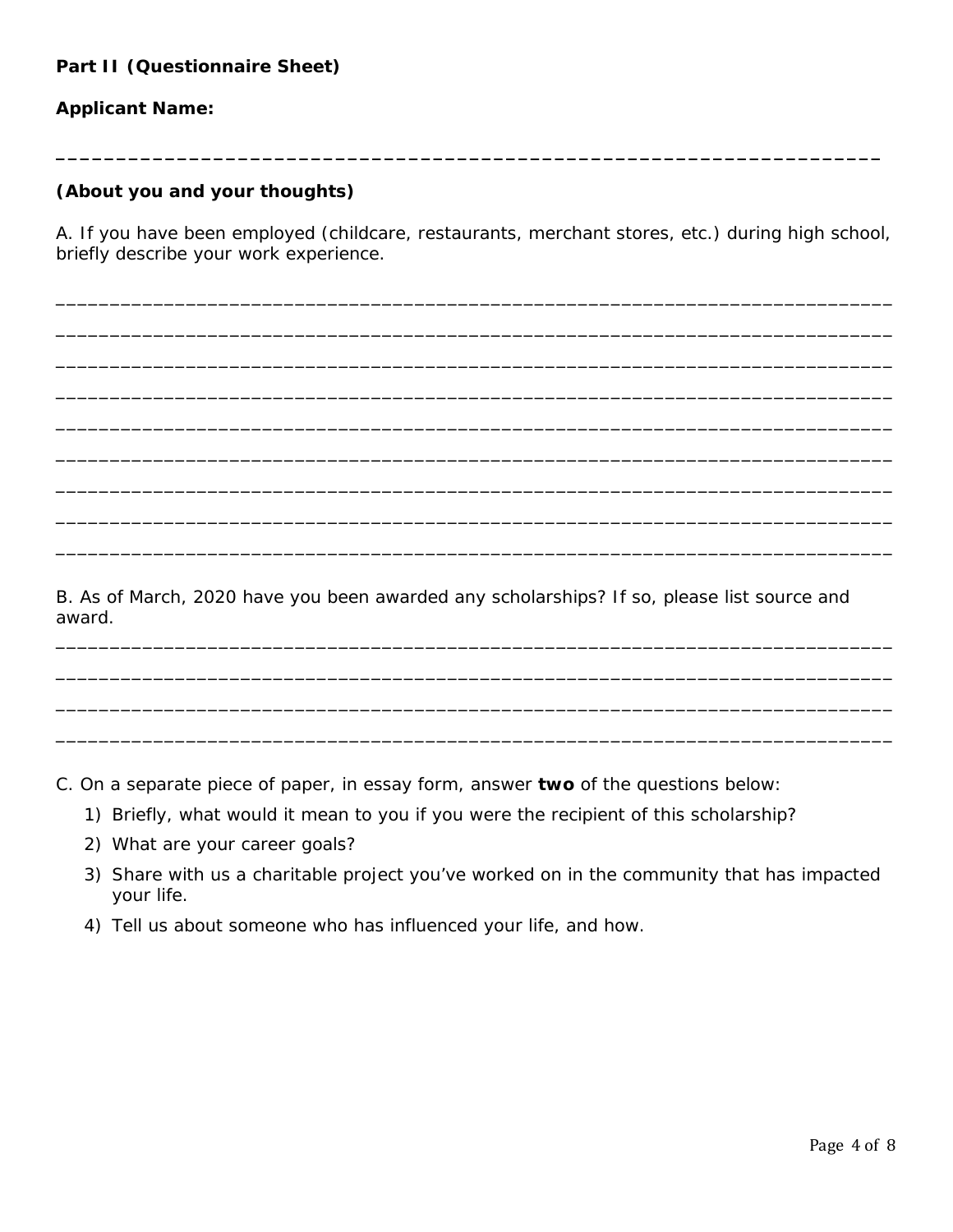#### **Applicant Name:**

#### **(About you and your thoughts)**

A. If you have been employed (childcare, restaurants, merchant stores, etc.) during high school, briefly describe your work experience.

\_\_\_\_\_\_\_\_\_\_\_\_\_\_\_\_\_\_\_\_\_\_\_\_\_\_\_\_\_\_\_\_\_\_\_\_\_\_\_\_\_\_\_\_\_\_\_\_\_\_\_\_\_\_\_\_\_\_\_\_\_\_\_\_\_\_\_\_\_\_\_\_\_\_\_\_\_

\_\_\_\_\_\_\_\_\_\_\_\_\_\_\_\_\_\_\_\_\_\_\_\_\_\_\_\_\_\_\_\_\_\_\_\_\_\_\_\_\_\_\_\_\_\_\_\_\_\_\_\_\_\_\_\_\_\_\_\_\_\_\_\_\_\_\_\_\_\_\_\_\_\_\_\_\_

\_\_\_\_\_\_\_\_\_\_\_\_\_\_\_\_\_\_\_\_\_\_\_\_\_\_\_\_\_\_\_\_\_\_\_\_\_\_\_\_\_\_\_\_\_\_\_\_\_\_\_\_\_\_\_\_\_\_\_\_\_\_\_\_\_\_\_\_\_\_\_\_\_\_\_\_\_

\_\_\_\_\_\_\_\_\_\_\_\_\_\_\_\_\_\_\_\_\_\_\_\_\_\_\_\_\_\_\_\_\_\_\_\_\_\_\_\_\_\_\_\_\_\_\_\_\_\_\_\_\_\_\_\_\_\_\_\_\_\_\_\_\_\_\_\_\_\_\_\_\_\_\_\_\_

\_\_\_\_\_\_\_\_\_\_\_\_\_\_\_\_\_\_\_\_\_\_\_\_\_\_\_\_\_\_\_\_\_\_\_\_\_\_\_\_\_\_\_\_\_\_\_\_\_\_\_\_\_\_\_\_\_\_\_\_\_\_\_\_\_\_\_\_\_\_\_\_\_\_\_\_\_

\_\_\_\_\_\_\_\_\_\_\_\_\_\_\_\_\_\_\_\_\_\_\_\_\_\_\_\_\_\_\_\_\_\_\_\_\_\_\_\_\_\_\_\_\_\_\_\_\_\_\_\_\_\_\_\_\_\_\_\_\_\_\_\_\_\_\_\_\_\_\_\_\_\_\_\_\_

\_\_\_\_\_\_\_\_\_\_\_\_\_\_\_\_\_\_\_\_\_\_\_\_\_\_\_\_\_\_\_\_\_\_\_\_\_\_\_\_\_\_\_\_\_\_\_\_\_\_\_\_\_\_\_\_\_\_\_\_\_\_\_\_\_\_\_\_\_\_\_\_\_\_\_\_\_

\_\_\_\_\_\_\_\_\_\_\_\_\_\_\_\_\_\_\_\_\_\_\_\_\_\_\_\_\_\_\_\_\_\_\_\_\_\_\_\_\_\_\_\_\_\_\_\_\_\_\_\_\_\_\_\_\_\_\_\_\_\_\_\_\_\_\_\_\_\_\_\_\_\_\_\_\_

\_\_\_\_\_\_\_\_\_\_\_\_\_\_\_\_\_\_\_\_\_\_\_\_\_\_\_\_\_\_\_\_\_\_\_\_\_\_\_\_\_\_\_\_\_\_\_\_\_\_\_\_\_\_\_\_\_\_\_\_\_\_\_\_\_\_\_\_\_\_\_\_\_\_\_\_\_

\_\_\_\_\_\_\_\_\_\_\_\_\_\_\_\_\_\_\_\_\_\_\_\_\_\_\_\_\_\_\_\_\_\_\_\_\_\_\_\_\_\_\_\_\_\_\_\_\_\_\_\_\_\_\_\_\_\_\_\_\_\_\_\_\_\_\_\_\_\_\_\_\_\_\_\_\_

\_\_\_\_\_\_\_\_\_\_\_\_\_\_\_\_\_\_\_\_\_\_\_\_\_\_\_\_\_\_\_\_\_\_\_\_\_\_\_\_\_\_\_\_\_\_\_\_\_\_\_\_\_\_\_\_\_\_\_\_\_\_\_\_\_\_\_\_\_\_\_\_\_\_\_\_\_

\_\_\_\_\_\_\_\_\_\_\_\_\_\_\_\_\_\_\_\_\_\_\_\_\_\_\_\_\_\_\_\_\_\_\_\_\_\_\_\_\_\_\_\_\_\_\_\_\_\_\_\_\_\_\_\_\_\_\_\_\_\_\_\_\_\_\_\_\_\_\_\_\_\_\_\_\_

\_\_\_\_\_\_\_\_\_\_\_\_\_\_\_\_\_\_\_\_\_\_\_\_\_\_\_\_\_\_\_\_\_\_\_\_\_\_\_\_\_\_\_\_\_\_\_\_\_\_\_\_\_\_\_\_\_\_\_\_\_\_\_\_\_\_\_\_\_\_\_\_\_\_\_\_\_

**\_\_\_\_\_\_\_\_\_\_\_\_\_\_\_\_\_\_\_\_\_\_\_\_\_\_\_\_\_\_\_\_\_\_\_\_\_\_\_\_\_\_\_\_\_\_\_\_\_\_\_\_\_\_\_\_\_\_\_\_\_\_\_\_\_\_\_\_**

B. As of March, 2020 have you been awarded any scholarships? If so, please list source and award.

C. On a separate piece of paper, in essay form, answer **two** of the questions below:

- 1) Briefly, what would it mean to you if you were the recipient of this scholarship?
- 2) What are your career goals?
- 3) Share with us a charitable project you've worked on in the community that has impacted your life.
- 4) Tell us about someone who has influenced your life, and how.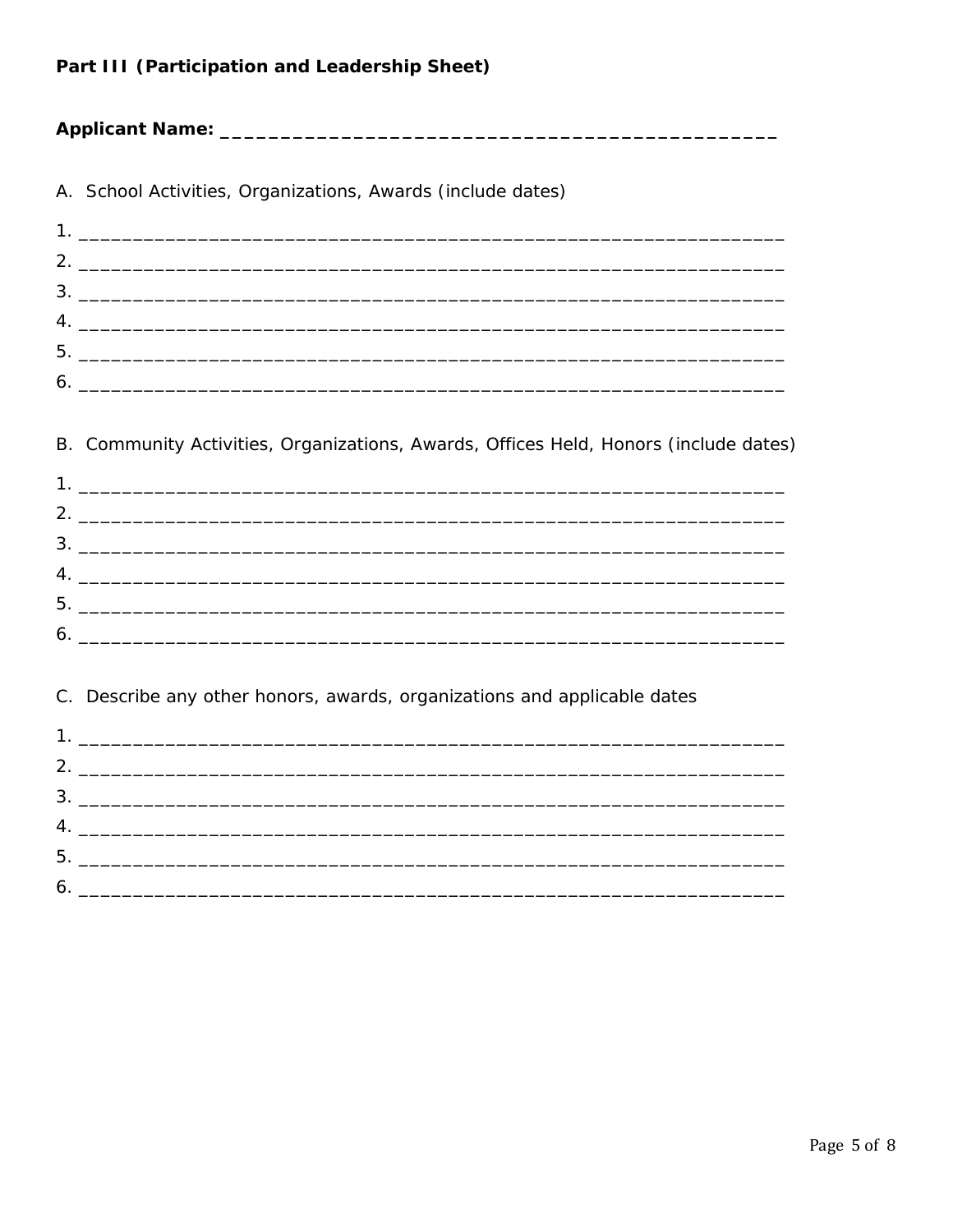#### Part III (Participation and Leadership Sheet)

#### 

| A. School Activities, Organizations, Awards (include dates) |
|-------------------------------------------------------------|
|                                                             |
|                                                             |
|                                                             |
| $4.$ $\overline{\phantom{a}}$                               |
| 5.                                                          |
| $\bullet$ .                                                 |

#### B. Community Activities, Organizations, Awards, Offices Held, Honors (include dates)

#### C. Describe any other honors, awards, organizations and applicable dates

| I. Andreas and the contract of the contract of the contract of the contract of the contract of the contract of |  |
|----------------------------------------------------------------------------------------------------------------|--|
|                                                                                                                |  |
|                                                                                                                |  |
|                                                                                                                |  |
|                                                                                                                |  |
|                                                                                                                |  |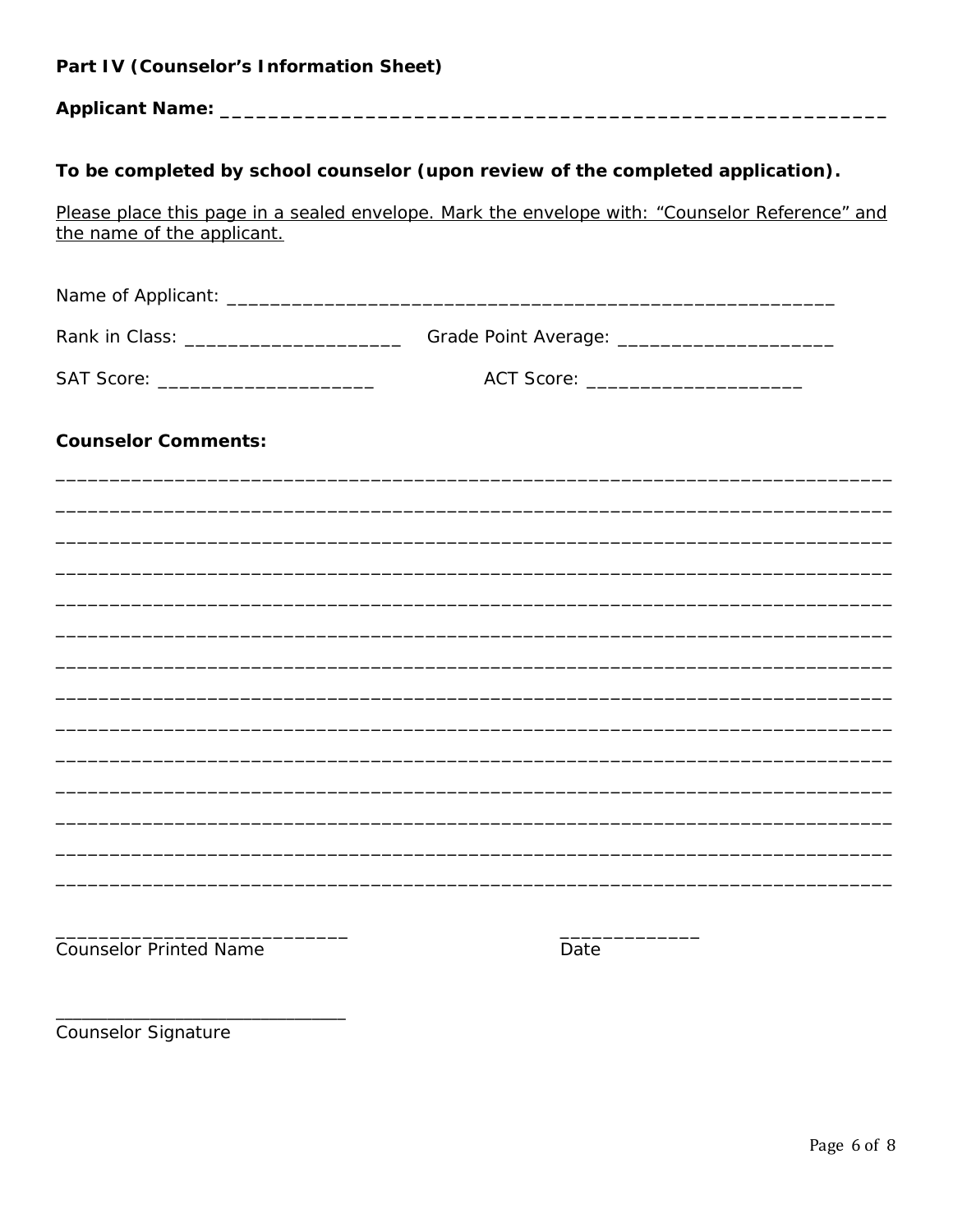| Part IV (Counselor's Information Sheet) |                                                                                                      |
|-----------------------------------------|------------------------------------------------------------------------------------------------------|
|                                         |                                                                                                      |
|                                         | To be completed by school counselor (upon review of the completed application).                      |
| the name of the applicant.              | Please place this page in a sealed envelope. Mark the envelope with: "Counselor Reference" and       |
|                                         |                                                                                                      |
|                                         | Rank in Class: _________________________________Grade Point Average: _______________________________ |
| SAT Score: _________________________    | ACT Score: _________________________                                                                 |
| <b>Counselor Comments:</b>              |                                                                                                      |
|                                         |                                                                                                      |
|                                         |                                                                                                      |
|                                         |                                                                                                      |
|                                         |                                                                                                      |
|                                         |                                                                                                      |
|                                         |                                                                                                      |
|                                         |                                                                                                      |
|                                         |                                                                                                      |
|                                         |                                                                                                      |
| <b>Counselor Printed Name</b>           | Date                                                                                                 |
| <b>Counselor Signature</b>              |                                                                                                      |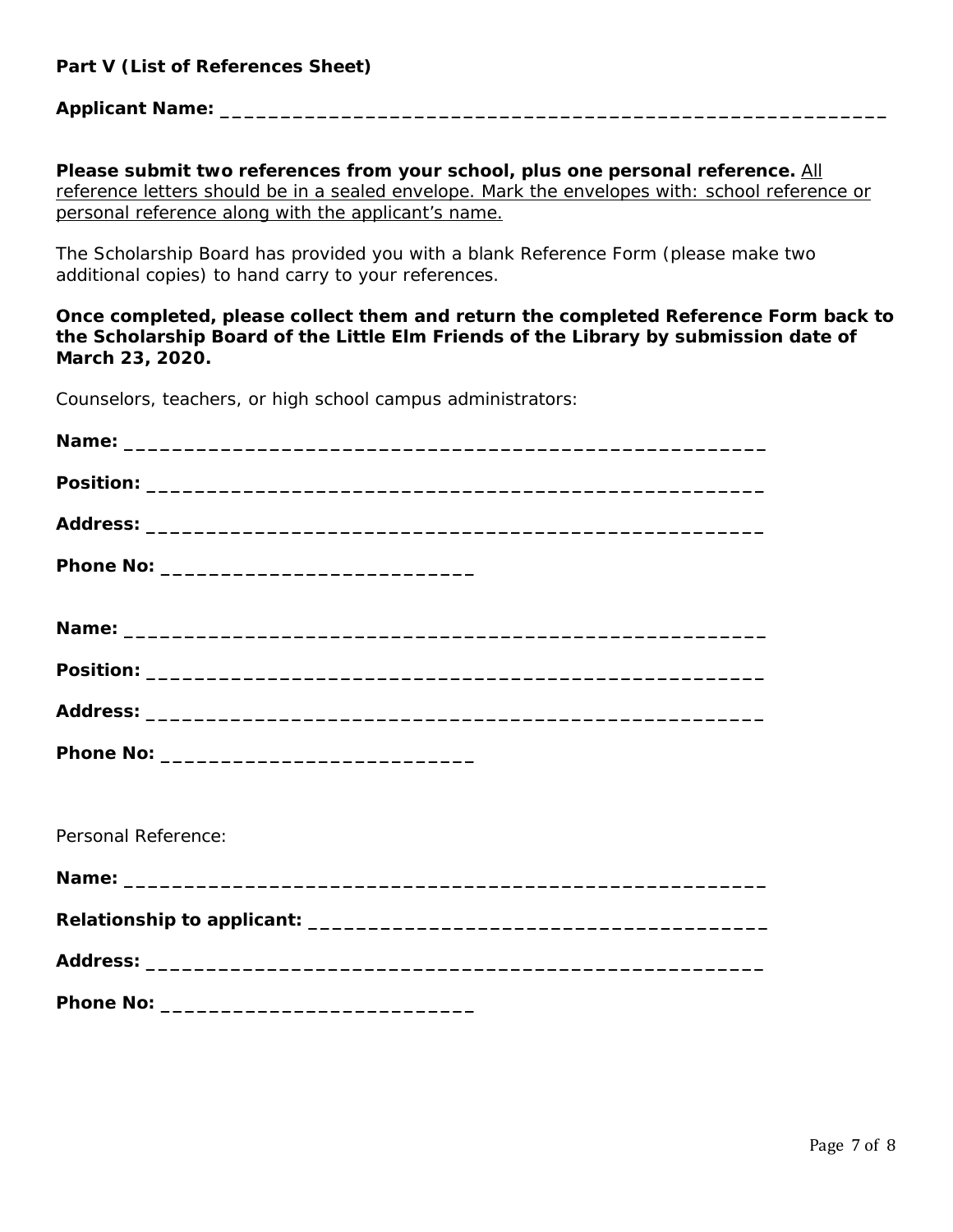#### **Part V (List of References Sheet)**

#### **Applicant Name: \_\_\_\_\_\_\_\_\_\_\_\_\_\_\_\_\_\_\_\_\_\_\_\_\_\_\_\_\_\_\_\_\_\_\_\_\_\_\_\_\_\_\_\_\_\_\_\_\_\_\_\_\_\_\_**

**Please submit two references from your school, plus one personal reference.** *All reference letters should be in a sealed envelope. Mark the envelopes with: school reference or personal reference along with the applicant's name.*

The Scholarship Board has provided you with a blank Reference Form (please make two additional copies) to hand carry to your references.

**Once completed, please collect them and return the completed Reference Form back to the Scholarship Board of the Little Elm Friends of the Library by submission date of March 23, 2020.** 

Counselors, teachers, or high school campus administrators:

| Personal Reference: |
|---------------------|
|                     |
|                     |
|                     |
|                     |